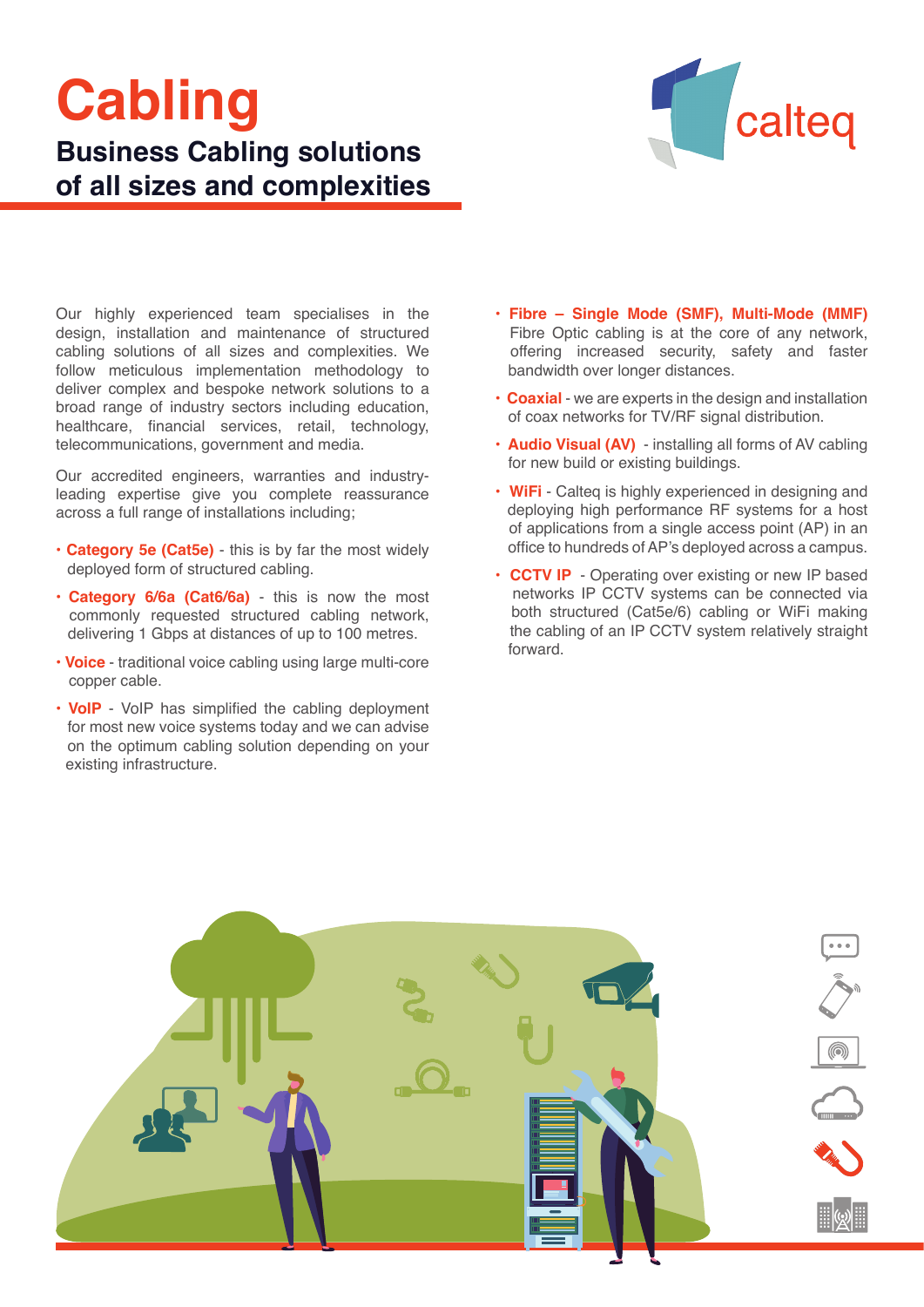# **Cabling Business Cabling solutions of all sizes and complexities**



Our highly experienced team specialises in the design, installation and maintenance of structured cabling solutions of all sizes and complexities. We follow meticulous implementation methodology to deliver complex and bespoke network solutions to a broad range of industry sectors including education, healthcare, financial services, retail, technology, telecommunications, government and media.

Our accredited engineers, warranties and industryleading expertise give you complete reassurance across a full range of installations including;

- **Category 5e (Cat5e)** this is by far the most widely deployed form of structured cabling.
- **Category 6/6a (Cat6/6a)** this is now the most commonly requested structured cabling network, delivering 1 Gbps at distances of up to 100 metres.
- **Voice** traditional voice cabling using large multi-core copper cable.
- **VoIP** VoIP has simplified the cabling deployment for most new voice systems today and we can advise on the optimum cabling solution depending on your existing infrastructure.
- **Fibre Single Mode (SMF), Multi-Mode (MMF)** Fibre Optic cabling is at the core of any network, offering increased security, safety and faster bandwidth over longer distances.
- **Coaxial** we are experts in the design and installation of coax networks for TV/RF signal distribution.
- **Audio Visual (AV)**  installing all forms of AV cabling for new build or existing buildings.
- **WiFi** Calteq is highly experienced in designing and deploying high performance RF systems for a host of applications from a single access point (AP) in an office to hundreds of AP's deployed across a campus.
- **CCTV IP**  Operating over existing or new IP based networks IP CCTV systems can be connected via both structured (Cat5e/6) cabling or WiFi making the cabling of an IP CCTV system relatively straight forward.

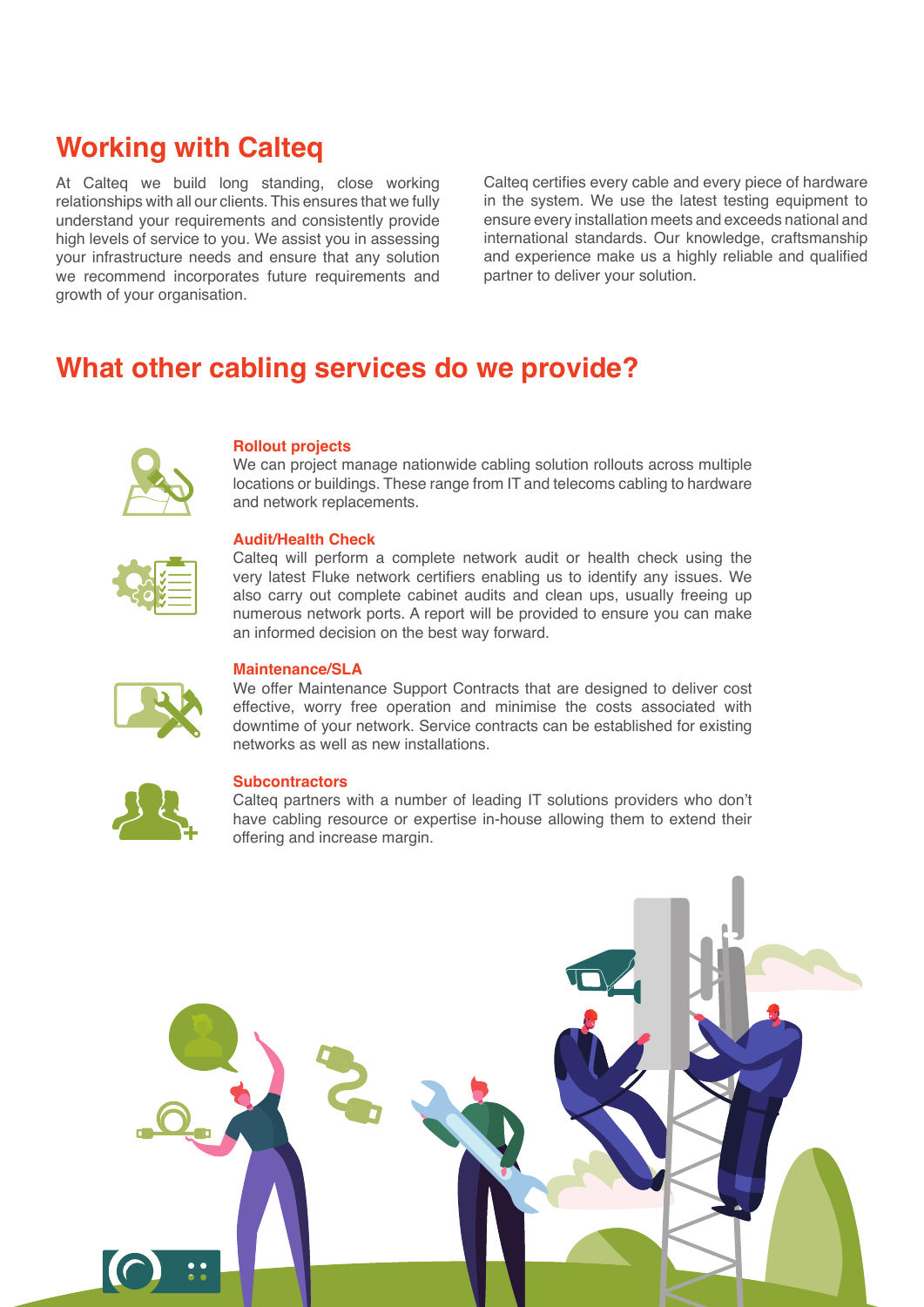# **Working with Calteq**

At Calteq we build long standing, close working relationships with all our clients. This ensures that we fully understand your requirements and consistently provide high levels of service to you. We assist you in assessing your infrastructure needs and ensure that any solution we recommend incorporates future requirements and growth of your organisation.

Calteq certifies every cable and every piece of hardware in the system. We use the latest testing equipment to ensure every installation meets and exceeds national and international standards. Our knowledge, craftsmanship and experience make us a highly reliable and qualified partner to deliver your solution.

# **What other cabling services do we provide?**



#### **Rollout projects**

We can project manage nationwide cabling solution rollouts across multiple locations or buildings. These range from IT and telecoms cabling to hardware and network replacements.

# **Audit/Health Check**

Calteq will perform a complete network audit or health check using the very latest Fluke network certifiers enabling us to identify any issues. We also carry out complete cabinet audits and clean ups, usually freeing up numerous network ports. A report will be provided to ensure you can make an informed decision on the best way forward.



# **Maintenance/SLA**

We offer Maintenance Support Contracts that are designed to deliver cost effective, worry free operation and minimise the costs associated with downtime of your network. Service contracts can be established for existing networks as well as new installations.



## **Subcontractors**

Calteq partners with a number of leading IT solutions providers who don't have cabling resource or expertise in-house allowing them to extend their **+** offering and increase margin.